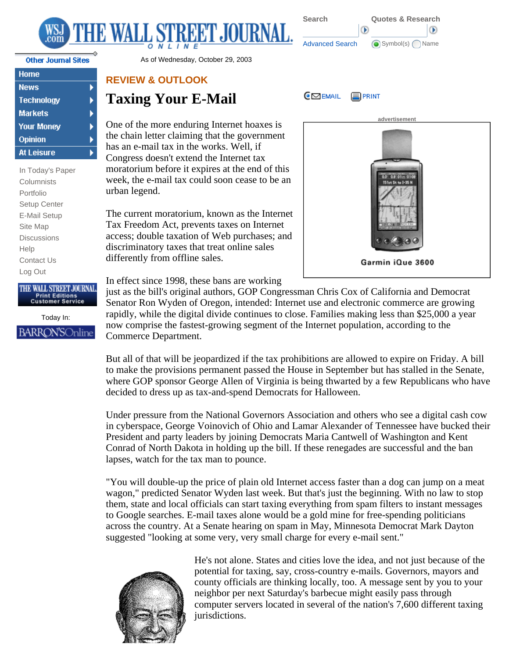



b

▶ Þ

| Home              |
|-------------------|
| <b>News</b>       |
| <b>Technology</b> |
| <b>Markets</b>    |
| <b>Your Money</b> |
| Opinion           |
| At Leisure        |

In Today's Paper **Columnists** Portfolio Setup Center E-Mail Setup Site Map **Discussions** Help Contact Us Log Out

## THE WALL STREET JOURNAL **Print Editions Customer Service**

Today In: **BARRON'SOnline** 

Other Journal Sites **As of Wednesday, October 29, 2003** 

## **REVIEW & OUTLOOK**

## **Taxing Your E-Mail**

One of the more enduring Internet hoaxes is the chain letter claiming that the government has an e-mail tax in the works. Well, if Congress doesn't extend the Internet tax moratorium before it expires at the end of this week, the e-mail tax could soon cease to be an urban legend.

The current moratorium, known as the Internet Tax Freedom Act, prevents taxes on Internet access; double taxation of Web purchases; and discriminatory taxes that treat online sales differently from offline sales.



In effect since 1998, these bans are working

just as the bill's original authors, GOP Congressman Chris Cox of California and Democrat Senator Ron Wyden of Oregon, intended: Internet use and electronic commerce are growing rapidly, while the digital divide continues to close. Families making less than \$25,000 a year now comprise the fastest-growing segment of the Internet population, according to the Commerce Department.

But all of that will be jeopardized if the tax prohibitions are allowed to expire on Friday. A bill to make the provisions permanent passed the House in September but has stalled in the Senate, where GOP sponsor George Allen of Virginia is being thwarted by a few Republicans who have decided to dress up as tax-and-spend Democrats for Halloween.

Under pressure from the National Governors Association and others who see a digital cash cow in cyberspace, George Voinovich of Ohio and Lamar Alexander of Tennessee have bucked their President and party leaders by joining Democrats Maria Cantwell of Washington and Kent Conrad of North Dakota in holding up the bill. If these renegades are successful and the ban lapses, watch for the tax man to pounce.

"You will double-up the price of plain old Internet access faster than a dog can jump on a meat wagon," predicted Senator Wyden last week. But that's just the beginning. With no law to stop them, state and local officials can start taxing everything from spam filters to instant messages to Google searches. E-mail taxes alone would be a gold mine for free-spending politicians across the country. At a Senate hearing on spam in May, Minnesota Democrat Mark Dayton suggested "looking at some very, very small charge for every e-mail sent."



He's not alone. States and cities love the idea, and not just because of the potential for taxing, say, cross-country e-mails. Governors, mayors and county officials are thinking locally, too. A message sent by you to your neighbor per next Saturday's barbecue might easily pass through computer servers located in several of the nation's 7,600 different taxing jurisdictions.